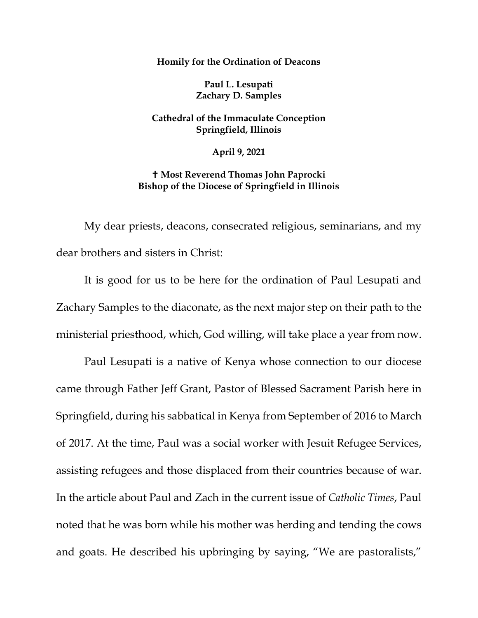**Homily for the Ordination of Deacons**

**Paul L. Lesupati Zachary D. Samples**

**Cathedral of the Immaculate Conception Springfield, Illinois**

**April 9, 2021**

 **Most Reverend Thomas John Paprocki Bishop of the Diocese of Springfield in Illinois**

My dear priests, deacons, consecrated religious, seminarians, and my dear brothers and sisters in Christ:

It is good for us to be here for the ordination of Paul Lesupati and Zachary Samples to the diaconate, as the next major step on their path to the ministerial priesthood, which, God willing, will take place a year from now.

Paul Lesupati is a native of Kenya whose connection to our diocese came through Father Jeff Grant, Pastor of Blessed Sacrament Parish here in Springfield, during his sabbatical in Kenya from September of 2016 to March of 2017. At the time, Paul was a social worker with Jesuit Refugee Services, assisting refugees and those displaced from their countries because of war. In the article about Paul and Zach in the current issue of *Catholic Times*, Paul noted that he was born while his mother was herding and tending the cows and goats. He described his upbringing by saying, "We are pastoralists,"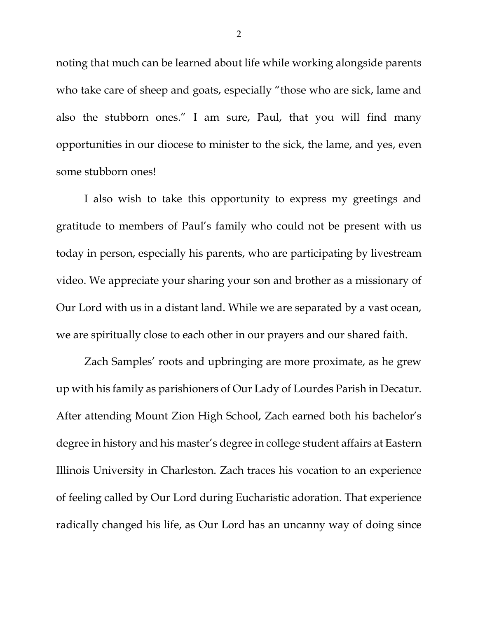noting that much can be learned about life while working alongside parents who take care of sheep and goats, especially "those who are sick, lame and also the stubborn ones." I am sure, Paul, that you will find many opportunities in our diocese to minister to the sick, the lame, and yes, even some stubborn ones!

I also wish to take this opportunity to express my greetings and gratitude to members of Paul's family who could not be present with us today in person, especially his parents, who are participating by livestream video. We appreciate your sharing your son and brother as a missionary of Our Lord with us in a distant land. While we are separated by a vast ocean, we are spiritually close to each other in our prayers and our shared faith.

Zach Samples' roots and upbringing are more proximate, as he grew up with his family as parishioners of Our Lady of Lourdes Parish in Decatur. After attending Mount Zion High School, Zach earned both his bachelor's degree in history and his master's degree in college student affairs at Eastern Illinois University in Charleston. Zach traces his vocation to an experience of feeling called by Our Lord during Eucharistic adoration. That experience radically changed his life, as Our Lord has an uncanny way of doing since

2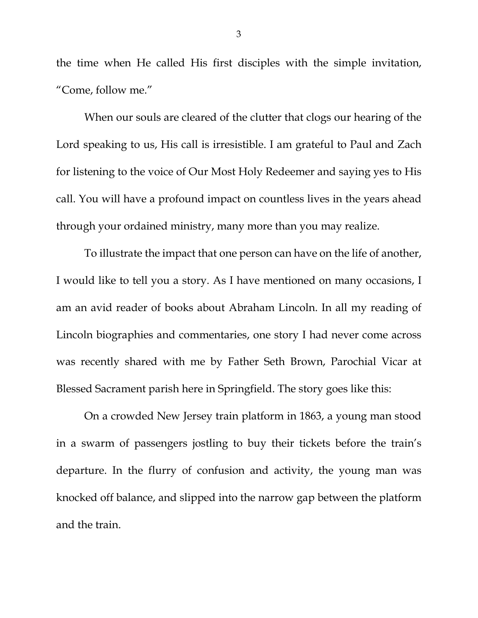the time when He called His first disciples with the simple invitation, "Come, follow me."

When our souls are cleared of the clutter that clogs our hearing of the Lord speaking to us, His call is irresistible. I am grateful to Paul and Zach for listening to the voice of Our Most Holy Redeemer and saying yes to His call. You will have a profound impact on countless lives in the years ahead through your ordained ministry, many more than you may realize.

To illustrate the impact that one person can have on the life of another, I would like to tell you a story. As I have mentioned on many occasions, I am an avid reader of books about Abraham Lincoln. In all my reading of Lincoln biographies and commentaries, one story I had never come across was recently shared with me by Father Seth Brown, Parochial Vicar at Blessed Sacrament parish here in Springfield. The story goes like this:

On a crowded New Jersey train platform in 1863, a young man stood in a swarm of passengers jostling to buy their tickets before the train's departure. In the flurry of confusion and activity, the young man was knocked off balance, and slipped into the narrow gap between the platform and the train.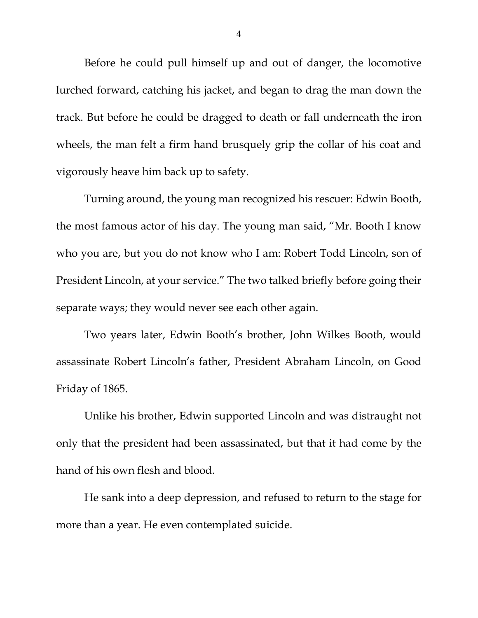Before he could pull himself up and out of danger, the locomotive lurched forward, catching his jacket, and began to drag the man down the track. But before he could be dragged to death or fall underneath the iron wheels, the man felt a firm hand brusquely grip the collar of his coat and vigorously heave him back up to safety.

Turning around, the young man recognized his rescuer: Edwin Booth, the most famous actor of his day. The young man said, "Mr. Booth I know who you are, but you do not know who I am: Robert Todd Lincoln, son of President Lincoln, at your service." The two talked briefly before going their separate ways; they would never see each other again.

Two years later, Edwin Booth's brother, John Wilkes Booth, would assassinate Robert Lincoln's father, President Abraham Lincoln, on Good Friday of 1865.

Unlike his brother, Edwin supported Lincoln and was distraught not only that the president had been assassinated, but that it had come by the hand of his own flesh and blood.

He sank into a deep depression, and refused to return to the stage for more than a year. He even contemplated suicide.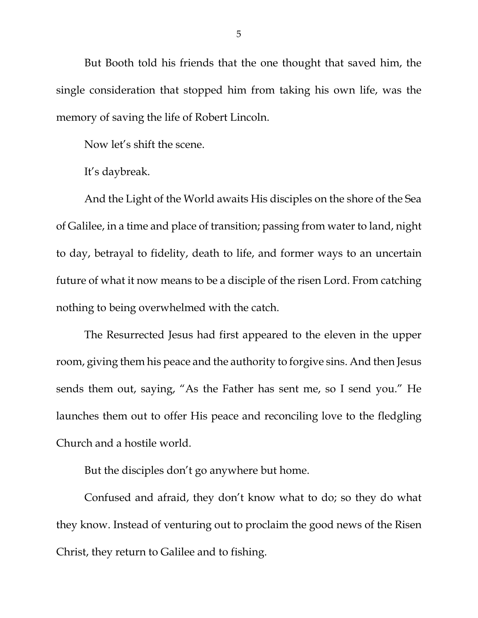But Booth told his friends that the one thought that saved him, the single consideration that stopped him from taking his own life, was the memory of saving the life of Robert Lincoln.

Now let's shift the scene.

It's daybreak.

And the Light of the World awaits His disciples on the shore of the Sea of Galilee, in a time and place of transition; passing from water to land, night to day, betrayal to fidelity, death to life, and former ways to an uncertain future of what it now means to be a disciple of the risen Lord. From catching nothing to being overwhelmed with the catch.

The Resurrected Jesus had first appeared to the eleven in the upper room, giving them his peace and the authority to forgive sins. And then Jesus sends them out, saying, "As the Father has sent me, so I send you." He launches them out to offer His peace and reconciling love to the fledgling Church and a hostile world.

But the disciples don't go anywhere but home.

Confused and afraid, they don't know what to do; so they do what they know. Instead of venturing out to proclaim the good news of the Risen Christ, they return to Galilee and to fishing.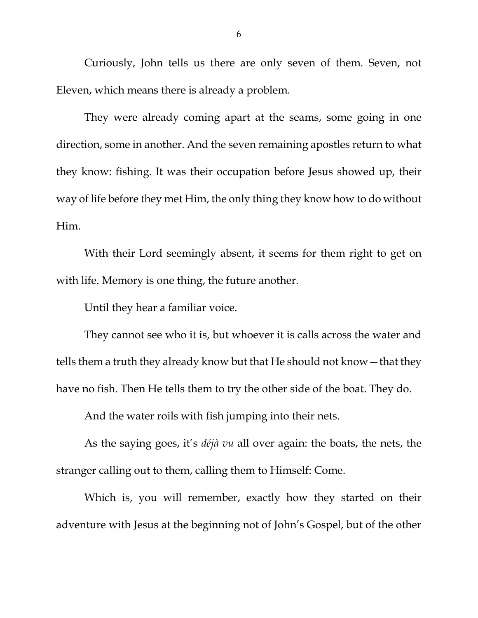Curiously, John tells us there are only seven of them. Seven, not Eleven, which means there is already a problem.

They were already coming apart at the seams, some going in one direction, some in another. And the seven remaining apostles return to what they know: fishing. It was their occupation before Jesus showed up, their way of life before they met Him, the only thing they know how to do without Him.

With their Lord seemingly absent, it seems for them right to get on with life. Memory is one thing, the future another.

Until they hear a familiar voice.

They cannot see who it is, but whoever it is calls across the water and tells them a truth they already know but that He should not know—that they have no fish. Then He tells them to try the other side of the boat. They do.

And the water roils with fish jumping into their nets.

As the saying goes, it's *déjà vu* all over again: the boats, the nets, the stranger calling out to them, calling them to Himself: Come.

Which is, you will remember, exactly how they started on their adventure with Jesus at the beginning not of John's Gospel, but of the other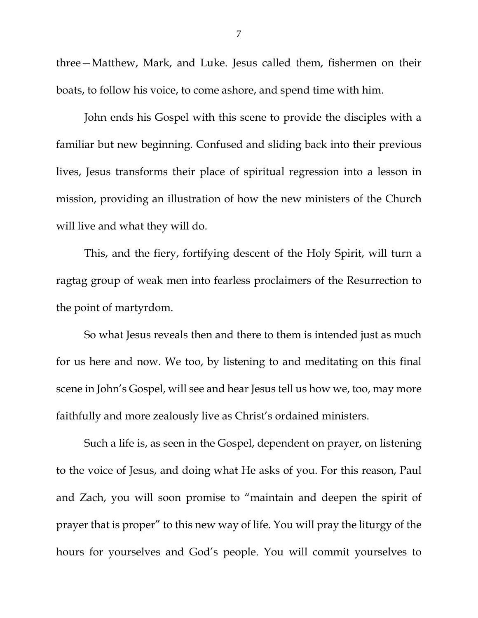three—Matthew, Mark, and Luke. Jesus called them, fishermen on their boats, to follow his voice, to come ashore, and spend time with him.

John ends his Gospel with this scene to provide the disciples with a familiar but new beginning. Confused and sliding back into their previous lives, Jesus transforms their place of spiritual regression into a lesson in mission, providing an illustration of how the new ministers of the Church will live and what they will do.

This, and the fiery, fortifying descent of the Holy Spirit, will turn a ragtag group of weak men into fearless proclaimers of the Resurrection to the point of martyrdom.

So what Jesus reveals then and there to them is intended just as much for us here and now. We too, by listening to and meditating on this final scene in John's Gospel, will see and hear Jesus tell us how we, too, may more faithfully and more zealously live as Christ's ordained ministers.

Such a life is, as seen in the Gospel, dependent on prayer, on listening to the voice of Jesus, and doing what He asks of you. For this reason, Paul and Zach, you will soon promise to "maintain and deepen the spirit of prayer that is proper" to this new way of life. You will pray the liturgy of the hours for yourselves and God's people. You will commit yourselves to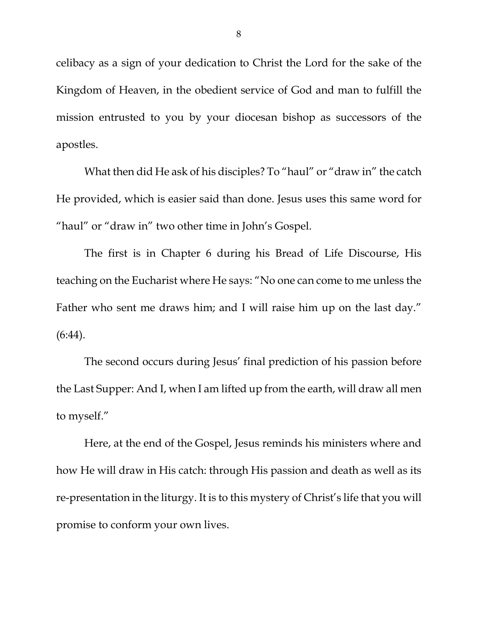celibacy as a sign of your dedication to Christ the Lord for the sake of the Kingdom of Heaven, in the obedient service of God and man to fulfill the mission entrusted to you by your diocesan bishop as successors of the apostles.

What then did He ask of his disciples? To "haul" or "draw in" the catch He provided, which is easier said than done. Jesus uses this same word for "haul" or "draw in" two other time in John's Gospel.

The first is in Chapter 6 during his Bread of Life Discourse, His teaching on the Eucharist where He says: "No one can come to me unless the Father who sent me draws him; and I will raise him up on the last day."  $(6:44)$ .

The second occurs during Jesus' final prediction of his passion before the Last Supper: And I, when I am lifted up from the earth, will draw all men to myself."

Here, at the end of the Gospel, Jesus reminds his ministers where and how He will draw in His catch: through His passion and death as well as its re-presentation in the liturgy. It is to this mystery of Christ's life that you will promise to conform your own lives.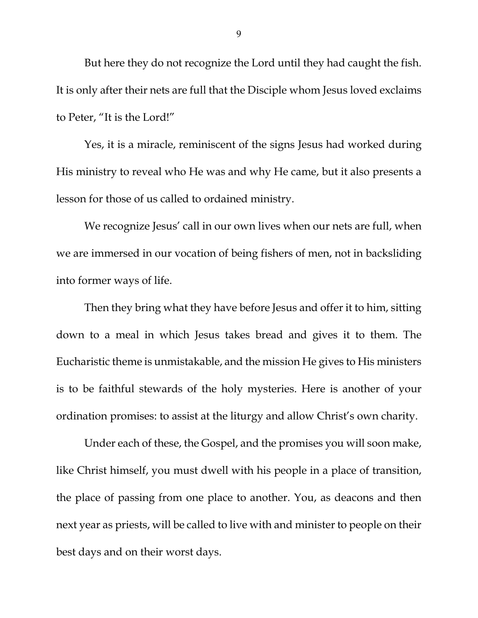But here they do not recognize the Lord until they had caught the fish. It is only after their nets are full that the Disciple whom Jesus loved exclaims to Peter, "It is the Lord!"

Yes, it is a miracle, reminiscent of the signs Jesus had worked during His ministry to reveal who He was and why He came, but it also presents a lesson for those of us called to ordained ministry.

We recognize Jesus' call in our own lives when our nets are full, when we are immersed in our vocation of being fishers of men, not in backsliding into former ways of life.

Then they bring what they have before Jesus and offer it to him, sitting down to a meal in which Jesus takes bread and gives it to them. The Eucharistic theme is unmistakable, and the mission He gives to His ministers is to be faithful stewards of the holy mysteries. Here is another of your ordination promises: to assist at the liturgy and allow Christ's own charity.

Under each of these, the Gospel, and the promises you will soon make, like Christ himself, you must dwell with his people in a place of transition, the place of passing from one place to another. You, as deacons and then next year as priests, will be called to live with and minister to people on their best days and on their worst days.

9